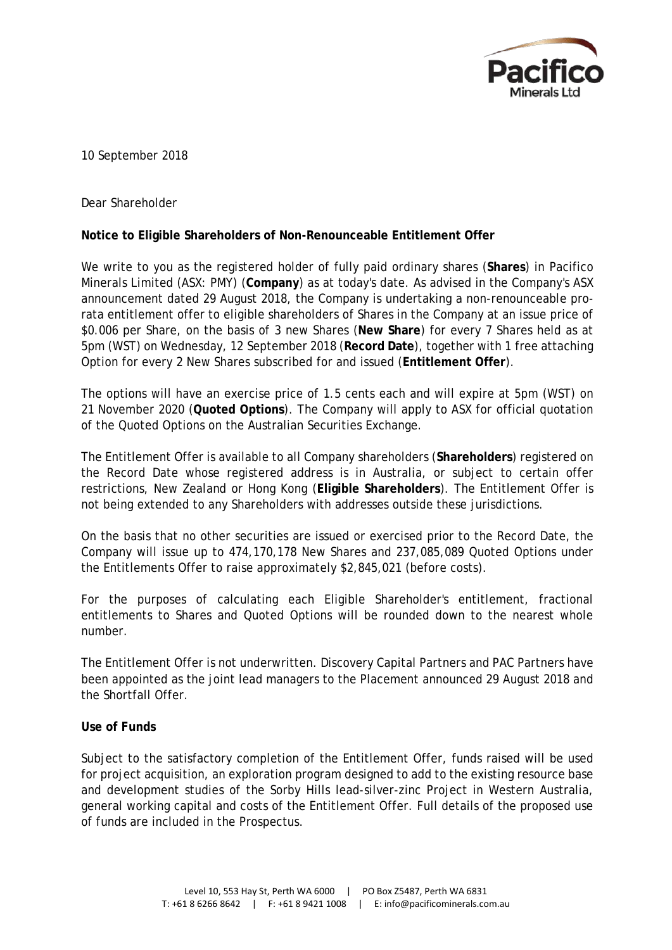

10 September 2018

Dear Shareholder

### **Notice to Eligible Shareholders of Non-Renounceable Entitlement Offer**

We write to you as the registered holder of fully paid ordinary shares (**Shares**) in Pacifico Minerals Limited (ASX: PMY) (**Company**) as at today's date. As advised in the Company's ASX announcement dated 29 August 2018, the Company is undertaking a non-renounceable prorata entitlement offer to eligible shareholders of Shares in the Company at an issue price of \$0.006 per Share, on the basis of 3 new Shares (**New Share**) for every 7 Shares held as at 5pm (WST) on Wednesday, 12 September 2018 (**Record Date**), together with 1 free attaching Option for every 2 New Shares subscribed for and issued (**Entitlement Offer**).

The options will have an exercise price of 1.5 cents each and will expire at 5pm (WST) on 21 November 2020 (**Quoted Options**). The Company will apply to ASX for official quotation of the Quoted Options on the Australian Securities Exchange.

The Entitlement Offer is available to all Company shareholders (**Shareholders**) registered on the Record Date whose registered address is in Australia, or subject to certain offer restrictions, New Zealand or Hong Kong (**Eligible Shareholders**). The Entitlement Offer is not being extended to any Shareholders with addresses outside these jurisdictions.

On the basis that no other securities are issued or exercised prior to the Record Date, the Company will issue up to 474,170,178 New Shares and 237,085,089 Quoted Options under the Entitlements Offer to raise approximately \$2,845,021 (before costs).

For the purposes of calculating each Eligible Shareholder's entitlement, fractional entitlements to Shares and Quoted Options will be rounded down to the nearest whole number.

The Entitlement Offer is not underwritten. Discovery Capital Partners and PAC Partners have been appointed as the joint lead managers to the Placement announced 29 August 2018 and the Shortfall Offer.

#### **Use of Funds**

Subject to the satisfactory completion of the Entitlement Offer, funds raised will be used for project acquisition, an exploration program designed to add to the existing resource base and development studies of the Sorby Hills lead-silver-zinc Project in Western Australia, general working capital and costs of the Entitlement Offer. Full details of the proposed use of funds are included in the Prospectus.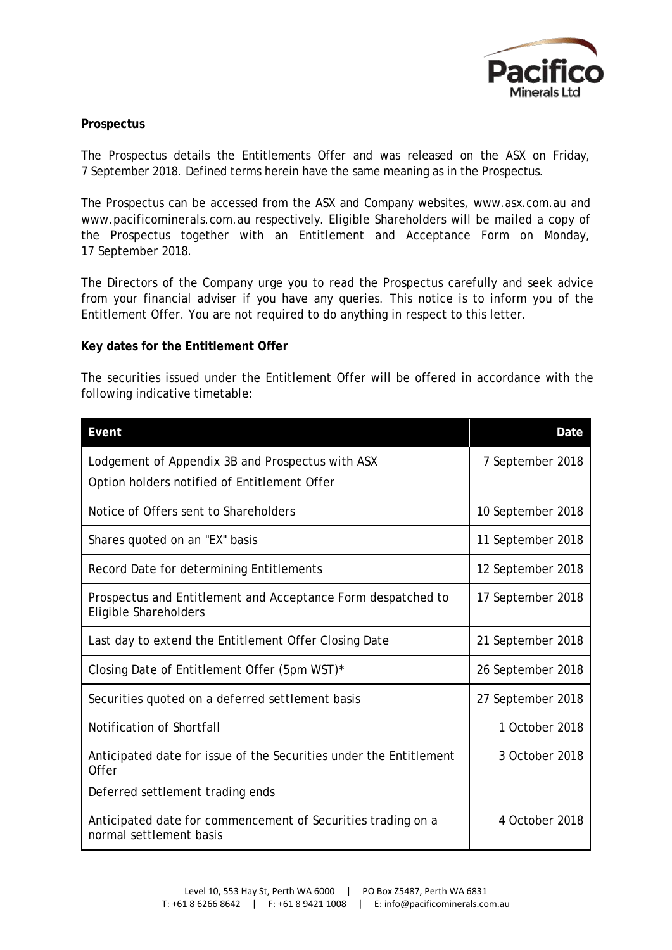

### **Prospectus**

The Prospectus details the Entitlements Offer and was released on the ASX on Friday, 7 September 2018. Defined terms herein have the same meaning as in the Prospectus.

The Prospectus can be accessed from the ASX and Company websites, www.asx.com.au and www.pacificominerals.com.au respectively. Eligible Shareholders will be mailed a copy of the Prospectus together with an Entitlement and Acceptance Form on Monday, 17 September 2018.

The Directors of the Company urge you to read the Prospectus carefully and seek advice from your financial adviser if you have any queries. This notice is to inform you of the Entitlement Offer. You are not required to do anything in respect to this letter.

#### **Key dates for the Entitlement Offer**

The securities issued under the Entitlement Offer will be offered in accordance with the following indicative timetable:

| Event                                                                                        | Date              |
|----------------------------------------------------------------------------------------------|-------------------|
| Lodgement of Appendix 3B and Prospectus with ASX                                             | 7 September 2018  |
| Option holders notified of Entitlement Offer                                                 |                   |
| Notice of Offers sent to Shareholders                                                        | 10 September 2018 |
| Shares quoted on an "EX" basis                                                               | 11 September 2018 |
| Record Date for determining Entitlements                                                     | 12 September 2018 |
| Prospectus and Entitlement and Acceptance Form despatched to<br><b>Eligible Shareholders</b> | 17 September 2018 |
| Last day to extend the Entitlement Offer Closing Date                                        | 21 September 2018 |
| Closing Date of Entitlement Offer (5pm WST)*                                                 | 26 September 2018 |
| Securities quoted on a deferred settlement basis                                             | 27 September 2018 |
| Notification of Shortfall                                                                    | 1 October 2018    |
| Anticipated date for issue of the Securities under the Entitlement<br>Offer                  | 3 October 2018    |
| Deferred settlement trading ends                                                             |                   |
| Anticipated date for commencement of Securities trading on a<br>normal settlement basis      | 4 October 2018    |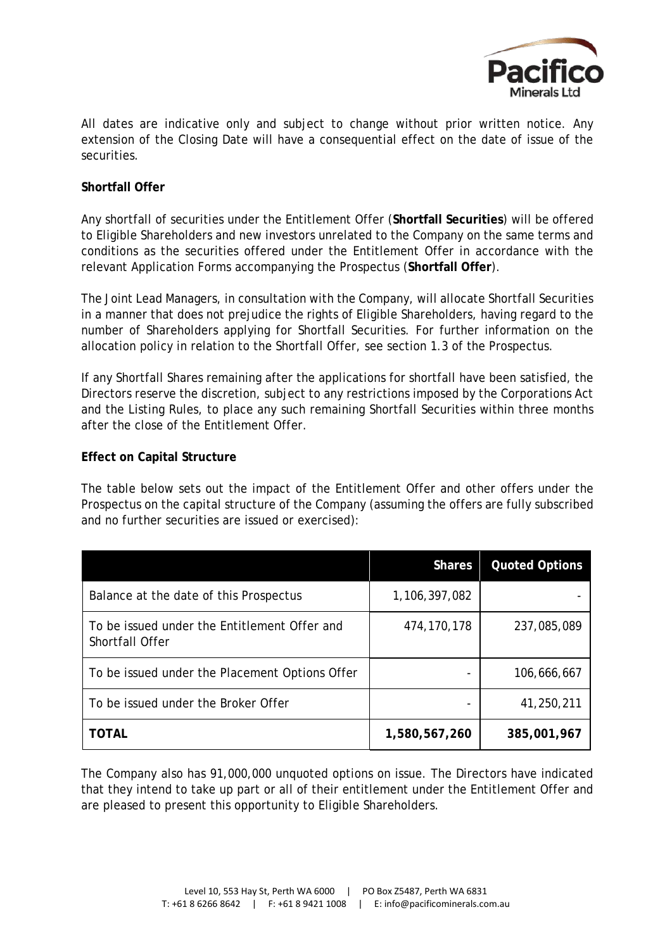

All dates are indicative only and subject to change without prior written notice. Any extension of the Closing Date will have a consequential effect on the date of issue of the securities.

# **Shortfall Offer**

Any shortfall of securities under the Entitlement Offer (**Shortfall Securities**) will be offered to Eligible Shareholders and new investors unrelated to the Company on the same terms and conditions as the securities offered under the Entitlement Offer in accordance with the relevant Application Forms accompanying the Prospectus (**Shortfall Offer**).

The Joint Lead Managers, in consultation with the Company, will allocate Shortfall Securities in a manner that does not prejudice the rights of Eligible Shareholders, having regard to the number of Shareholders applying for Shortfall Securities. For further information on the allocation policy in relation to the Shortfall Offer, see section 1.3 of the Prospectus.

If any Shortfall Shares remaining after the applications for shortfall have been satisfied, the Directors reserve the discretion, subject to any restrictions imposed by the Corporations Act and the Listing Rules, to place any such remaining Shortfall Securities within three months after the close of the Entitlement Offer.

# **Effect on Capital Structure**

The table below sets out the impact of the Entitlement Offer and other offers under the Prospectus on the capital structure of the Company (assuming the offers are fully subscribed and no further securities are issued or exercised):

|                                                                        | <b>Shares</b> | <b>Quoted Options</b> |
|------------------------------------------------------------------------|---------------|-----------------------|
| Balance at the date of this Prospectus                                 | 1,106,397,082 |                       |
| To be issued under the Entitlement Offer and<br><b>Shortfall Offer</b> | 474, 170, 178 | 237,085,089           |
| To be issued under the Placement Options Offer                         |               | 106,666,667           |
| To be issued under the Broker Offer                                    |               | 41,250,211            |
| TOTAL                                                                  | 1,580,567,260 | 385,001,967           |

The Company also has 91,000,000 unquoted options on issue. The Directors have indicated that they intend to take up part or all of their entitlement under the Entitlement Offer and are pleased to present this opportunity to Eligible Shareholders.